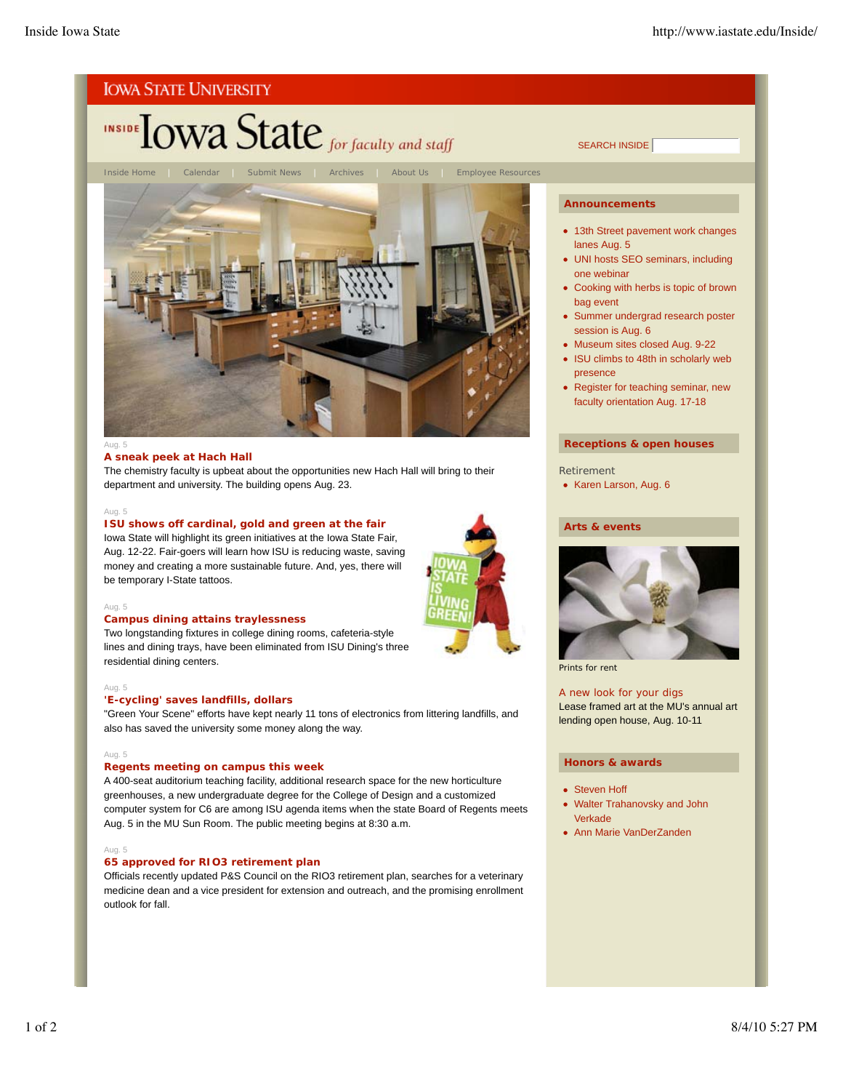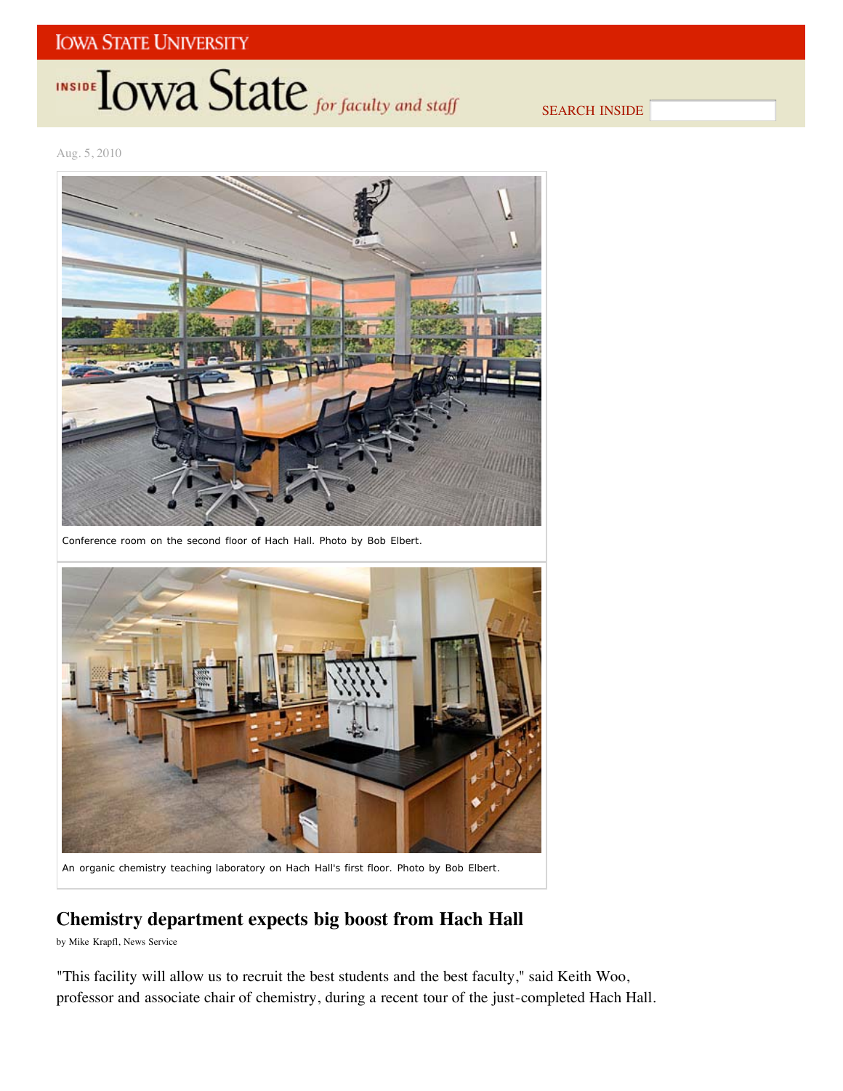## **IOWA STATE UNIVERSITY**

## INSIDE **IOWA State** for faculty and staff

SEARCH INSIDE

Aug. 5, 2010



Conference room on the second floor of Hach Hall. *Photo by Bob Elbert*.



An organic chemistry teaching laboratory on Hach Hall's first floor. *Photo by Bob Elbert*.

## **Chemistry department expects big boost from Hach Hall**

by Mike Krapfl, News Service

"This facility will allow us to recruit the best students and the best faculty," said Keith Woo, professor and associate chair of chemistry, during a recent tour of the just-completed Hach Hall.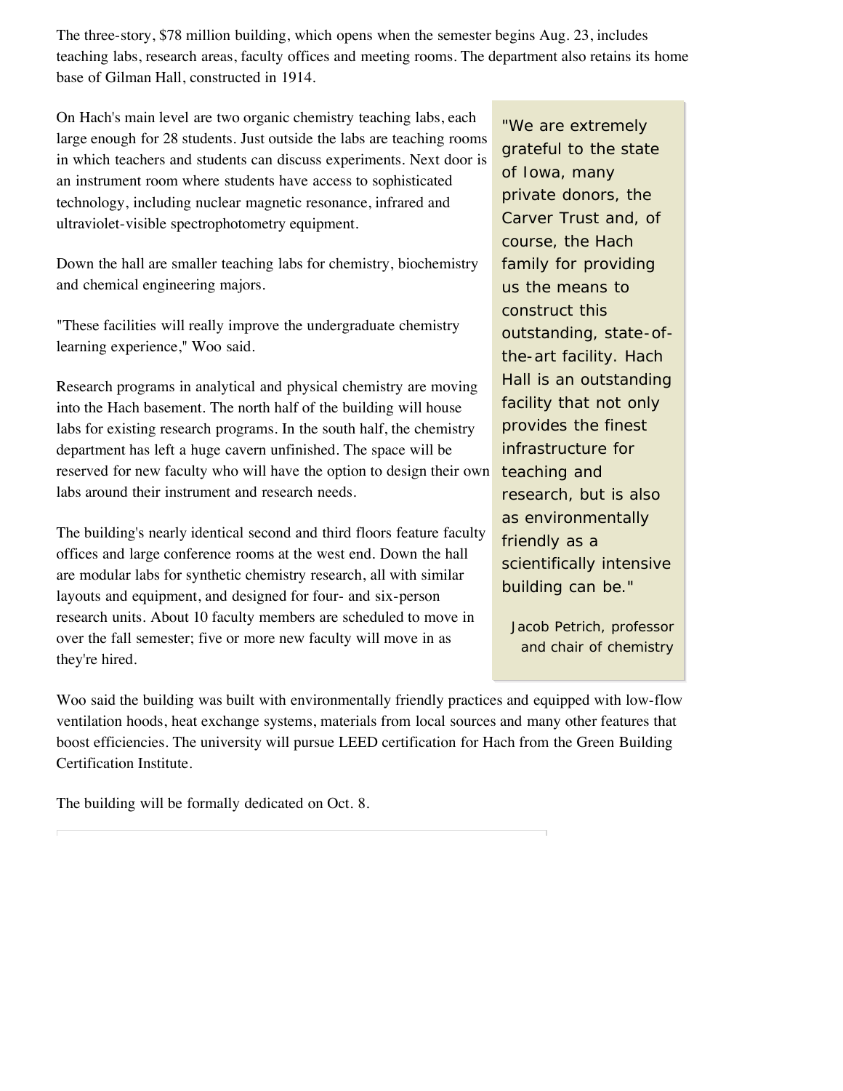The three-story, \$78 million building, which opens when the semester begins Aug. 23, includes teaching labs, research areas, faculty offices and meeting rooms. The department also retains its home base of Gilman Hall, constructed in 1914.

On Hach's main level are two organic chemistry teaching labs, each large enough for 28 students. Just outside the labs are teaching rooms in which teachers and students can discuss experiments. Next door is an instrument room where students have access to sophisticated technology, including nuclear magnetic resonance, infrared and ultraviolet-visible spectrophotometry equipment.

Down the hall are smaller teaching labs for chemistry, biochemistry and chemical engineering majors.

"These facilities will really improve the undergraduate chemistry learning experience," Woo said.

Research programs in analytical and physical chemistry are moving into the Hach basement. The north half of the building will house labs for existing research programs. In the south half, the chemistry department has left a huge cavern unfinished. The space will be reserved for new faculty who will have the option to design their own labs around their instrument and research needs.

The building's nearly identical second and third floors feature faculty offices and large conference rooms at the west end. Down the hall are modular labs for synthetic chemistry research, all with similar layouts and equipment, and designed for four- and six-person research units. About 10 faculty members are scheduled to move in over the fall semester; five or more new faculty will move in as they're hired.

"We are extremely grateful to the state of Iowa, many private donors, the Carver Trust and, of course, the Hach family for providing us the means to construct this outstanding, state-ofthe-art facility. Hach Hall is an outstanding facility that not only provides the finest infrastructure for teaching and research, but is also as environmentally friendly as a scientifically intensive building can be."

Jacob Petrich, professor and chair of chemistry

Woo said the building was built with environmentally friendly practices and equipped with low-flow ventilation hoods, heat exchange systems, materials from local sources and many other features that boost efficiencies. The university will pursue LEED certification for Hach from the Green Building Certification Institute.

The building will be formally dedicated on Oct. 8.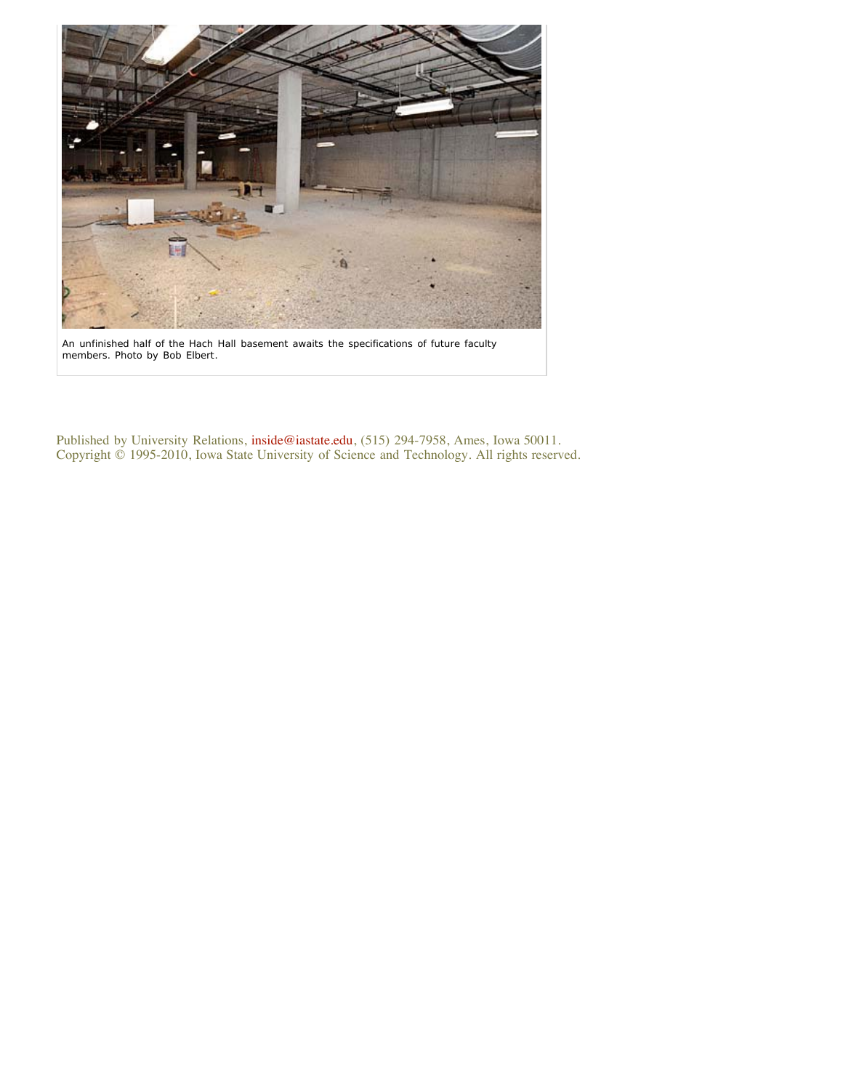

An unfinished half of the Hach Hall basement awaits the specifications of future faculty members. *Photo by Bob Elbert*.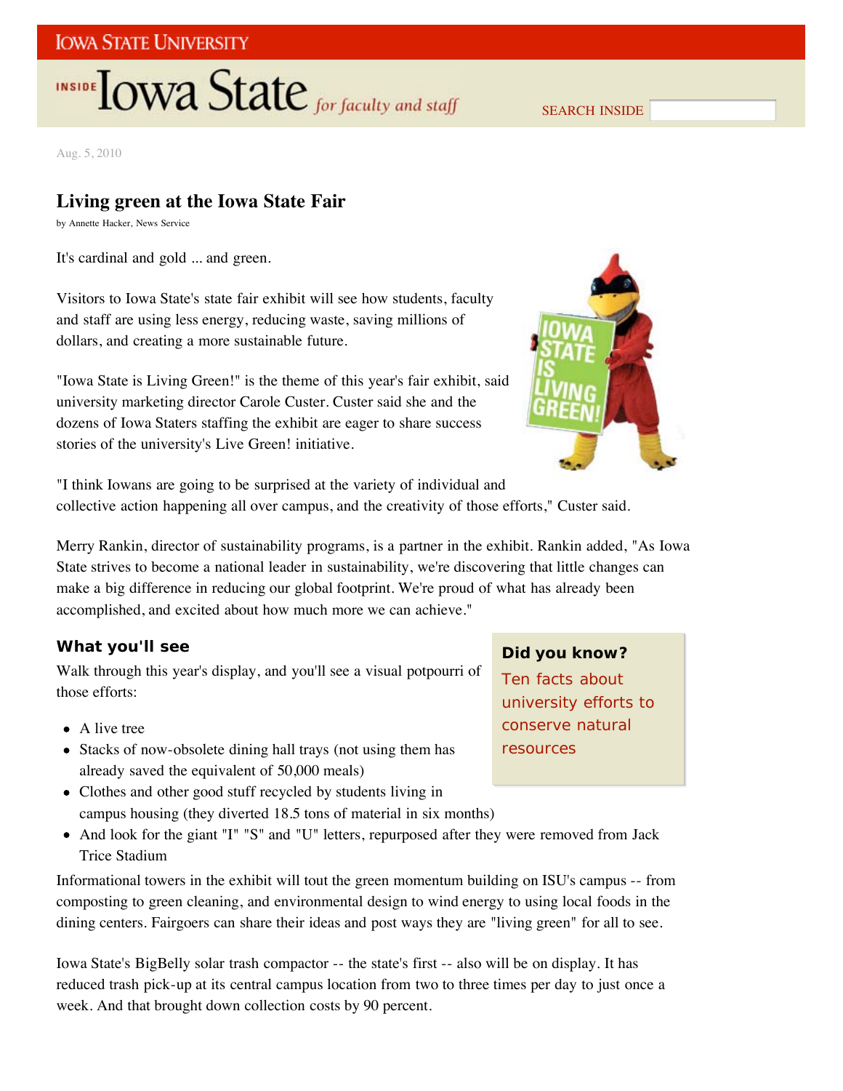## **IOWA STATE UNIVERSITY**

# **INSIDE TOWA State** for faculty and staff

SEARCH INSIDE

Aug. 5, 2010

## **Living green at the Iowa State Fair**

by Annette Hacker, News Service

It's cardinal and gold ... and green.

Visitors to Iowa State's state fair exhibit will see how students, faculty and staff are using less energy, reducing waste, saving millions of dollars, and creating a more sustainable future.

"Iowa State is Living Green!" is the theme of this year's fair exhibit, said university marketing director Carole Custer. Custer said she and the dozens of Iowa Staters staffing the exhibit are eager to share success stories of the university's Live Green! initiative.



"I think Iowans are going to be surprised at the variety of individual and collective action happening all over campus, and the creativity of those efforts," Custer said.

Merry Rankin, director of sustainability programs, is a partner in the exhibit. Rankin added, "As Iowa State strives to become a national leader in sustainability, we're discovering that little changes can make a big difference in reducing our global footprint. We're proud of what has already been accomplished, and excited about how much more we can achieve."

#### **What you'll see**

Walk through this year's display, and you'll see a visual potpourri of those efforts:

- A live tree
- Stacks of now-obsolete dining hall trays (not using them has already saved the equivalent of 50,000 meals)
- Clothes and other good stuff recycled by students living in campus housing (they diverted 18.5 tons of material in six months)
- And look for the giant "I" "S" and "U" letters, repurposed after they were removed from Jack Trice Stadium

Informational towers in the exhibit will tout the green momentum building on ISU's campus -- from composting to green cleaning, and environmental design to wind energy to using local foods in the dining centers. Fairgoers can share their ideas and post ways they are "living green" for all to see.

Iowa State's BigBelly solar trash compactor -- the state's first -- also will be on display. It has reduced trash pick-up at its central campus location from two to three times per day to just once a week. And that brought down collection costs by 90 percent.

#### **Did you know?**

Ten facts about university efforts to conserve natural resources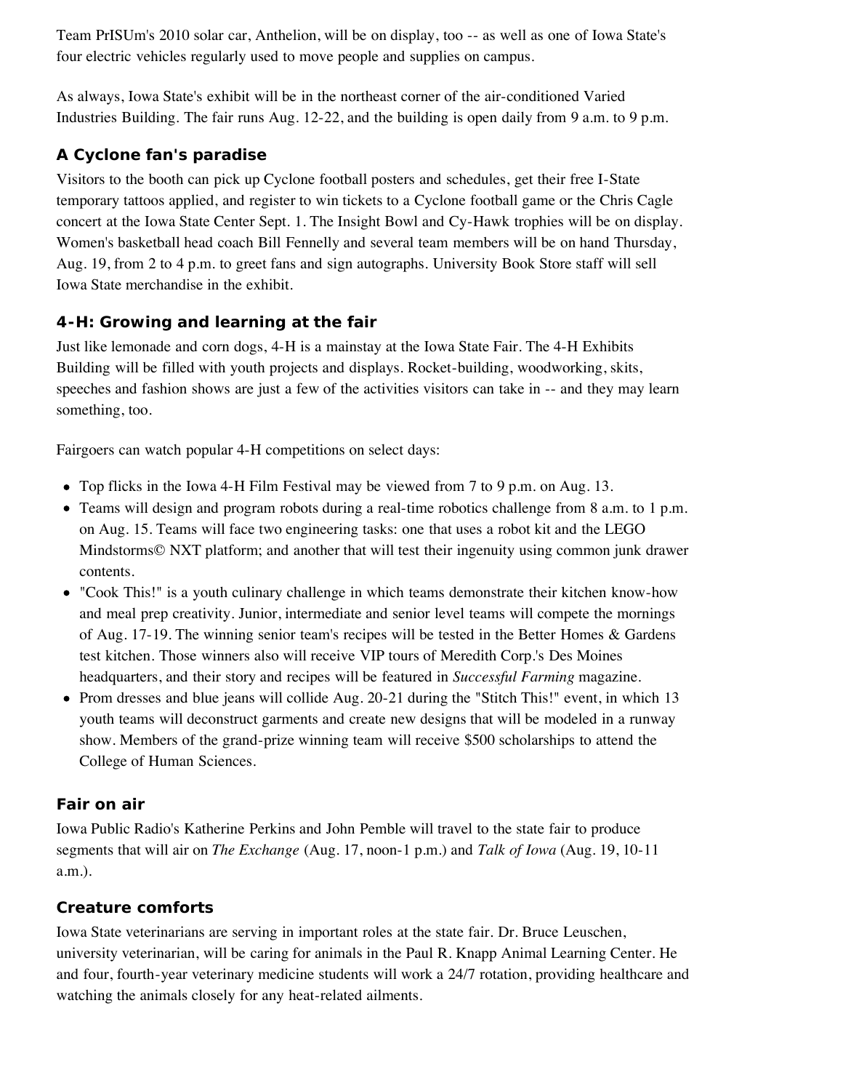Team PrISUm's 2010 solar car, Anthelion, will be on display, too -- as well as one of Iowa State's four electric vehicles regularly used to move people and supplies on campus.

As always, Iowa State's exhibit will be in the northeast corner of the air-conditioned Varied Industries Building. The fair runs Aug. 12-22, and the building is open daily from 9 a.m. to 9 p.m.

## **A Cyclone fan's paradise**

Visitors to the booth can pick up Cyclone football posters and schedules, get their free I-State temporary tattoos applied, and register to win tickets to a Cyclone football game or the Chris Cagle concert at the Iowa State Center Sept. 1. The Insight Bowl and Cy-Hawk trophies will be on display. Women's basketball head coach Bill Fennelly and several team members will be on hand Thursday, Aug. 19, from 2 to 4 p.m. to greet fans and sign autographs. University Book Store staff will sell Iowa State merchandise in the exhibit.

### **4-H: Growing and learning at the fair**

Just like lemonade and corn dogs, 4-H is a mainstay at the Iowa State Fair. The 4-H Exhibits Building will be filled with youth projects and displays. Rocket-building, woodworking, skits, speeches and fashion shows are just a few of the activities visitors can take in -- and they may learn something, too.

Fairgoers can watch popular 4-H competitions on select days:

- Top flicks in the Iowa 4-H Film Festival may be viewed from 7 to 9 p.m. on Aug. 13.
- Teams will design and program robots during a real-time robotics challenge from 8 a.m. to 1 p.m. on Aug. 15. Teams will face two engineering tasks: one that uses a robot kit and the LEGO Mindstorms© NXT platform; and another that will test their ingenuity using common junk drawer contents.
- "Cook This!" is a youth culinary challenge in which teams demonstrate their kitchen know-how and meal prep creativity. Junior, intermediate and senior level teams will compete the mornings of Aug. 17-19. The winning senior team's recipes will be tested in the Better Homes & Gardens test kitchen. Those winners also will receive VIP tours of Meredith Corp.'s Des Moines headquarters, and their story and recipes will be featured in *Successful Farming* magazine.
- Prom dresses and blue jeans will collide Aug. 20-21 during the "Stitch This!" event, in which 13 youth teams will deconstruct garments and create new designs that will be modeled in a runway show. Members of the grand-prize winning team will receive \$500 scholarships to attend the College of Human Sciences.

## **Fair on air**

Iowa Public Radio's Katherine Perkins and John Pemble will travel to the state fair to produce segments that will air on *The Exchange* (Aug. 17, noon-1 p.m.) and *Talk of Iowa* (Aug. 19, 10-11 a.m.).

#### **Creature comforts**

Iowa State veterinarians are serving in important roles at the state fair. Dr. Bruce Leuschen, university veterinarian, will be caring for animals in the Paul R. Knapp Animal Learning Center. He and four, fourth-year veterinary medicine students will work a 24/7 rotation, providing healthcare and watching the animals closely for any heat-related ailments.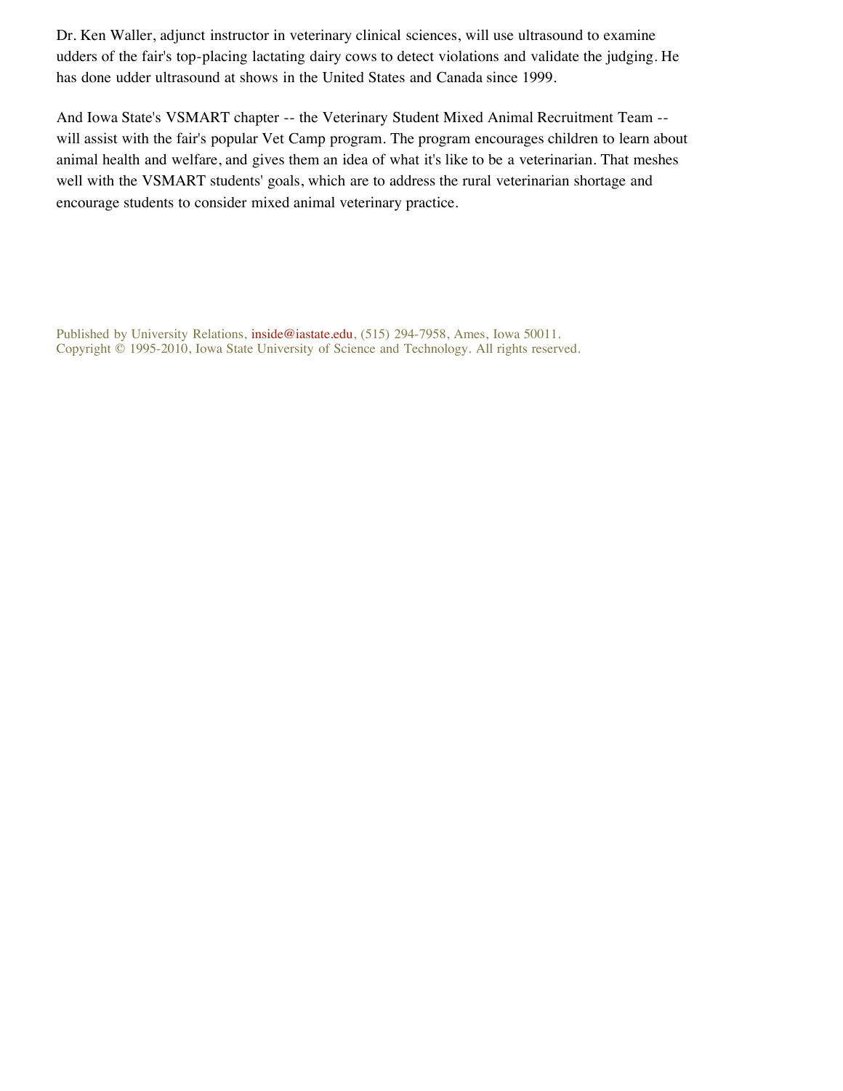Dr. Ken Waller, adjunct instructor in veterinary clinical sciences, will use ultrasound to examine udders of the fair's top-placing lactating dairy cows to detect violations and validate the judging. He has done udder ultrasound at shows in the United States and Canada since 1999.

And Iowa State's VSMART chapter -- the Veterinary Student Mixed Animal Recruitment Team - will assist with the fair's popular Vet Camp program. The program encourages children to learn about animal health and welfare, and gives them an idea of what it's like to be a veterinarian. That meshes well with the VSMART students' goals, which are to address the rural veterinarian shortage and encourage students to consider mixed animal veterinary practice.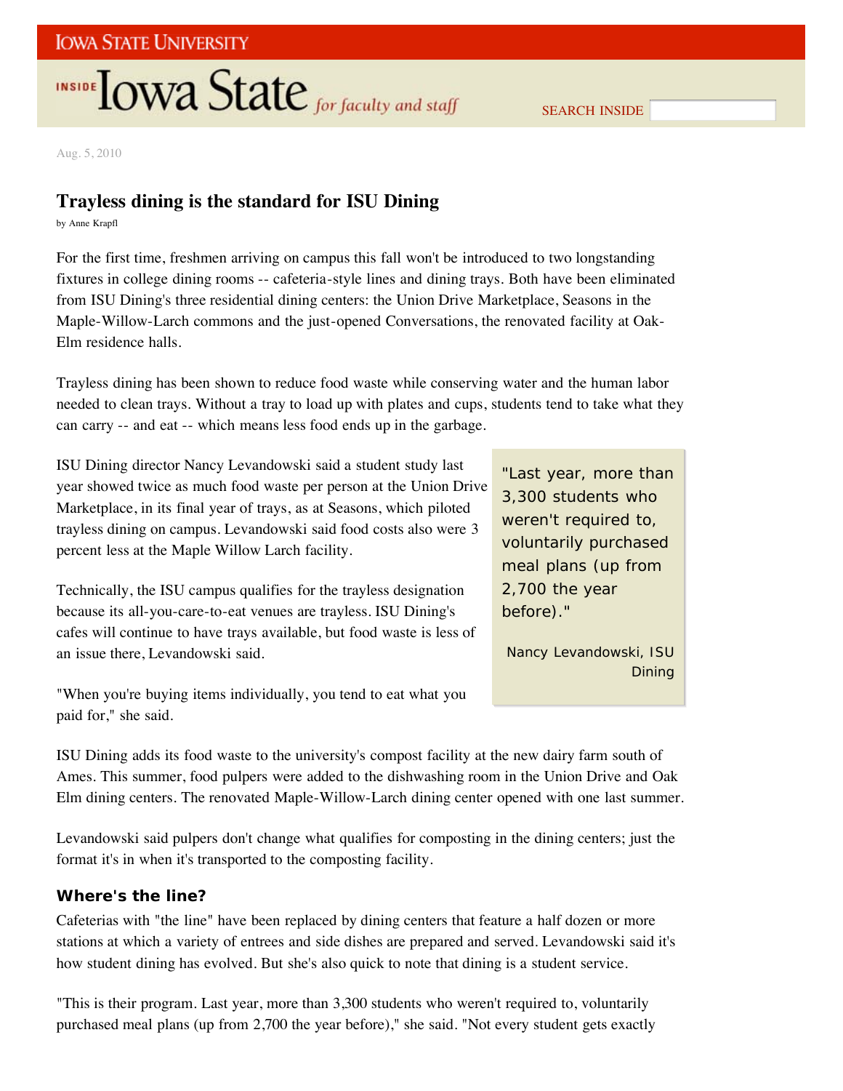# **INSIDE TOWA State** for faculty and staff

SEARCH INSIDE

Aug. 5, 2010

## **Trayless dining is the standard for ISU Dining**

by Anne Krapfl

For the first time, freshmen arriving on campus this fall won't be introduced to two longstanding fixtures in college dining rooms -- cafeteria-style lines and dining trays. Both have been eliminated from ISU Dining's three residential dining centers: the Union Drive Marketplace, Seasons in the Maple-Willow-Larch commons and the just-opened Conversations, the renovated facility at Oak-Elm residence halls.

Trayless dining has been shown to reduce food waste while conserving water and the human labor needed to clean trays. Without a tray to load up with plates and cups, students tend to take what they can carry -- and eat -- which means less food ends up in the garbage.

ISU Dining director Nancy Levandowski said a student study last year showed twice as much food waste per person at the Union Drive Marketplace, in its final year of trays, as at Seasons, which piloted trayless dining on campus. Levandowski said food costs also were 3 percent less at the Maple Willow Larch facility.

Technically, the ISU campus qualifies for the trayless designation because its all-you-care-to-eat venues are trayless. ISU Dining's cafes will continue to have trays available, but food waste is less of an issue there, Levandowski said.

"When you're buying items individually, you tend to eat what you paid for," she said.

"Last year, more than 3,300 students who weren't required to, voluntarily purchased meal plans (up from 2,700 the year before)."

Nancy Levandowski, ISU Dining

ISU Dining adds its food waste to the university's compost facility at the new dairy farm south of Ames. This summer, food pulpers were added to the dishwashing room in the Union Drive and Oak Elm dining centers. The renovated Maple-Willow-Larch dining center opened with one last summer.

Levandowski said pulpers don't change what qualifies for composting in the dining centers; just the format it's in when it's transported to the composting facility.

#### **Where's the line?**

Cafeterias with "the line" have been replaced by dining centers that feature a half dozen or more stations at which a variety of entrees and side dishes are prepared and served. Levandowski said it's how student dining has evolved. But she's also quick to note that dining is a student service.

"This is their program. Last year, more than 3,300 students who weren't required to, voluntarily purchased meal plans (up from 2,700 the year before)," she said. "Not every student gets exactly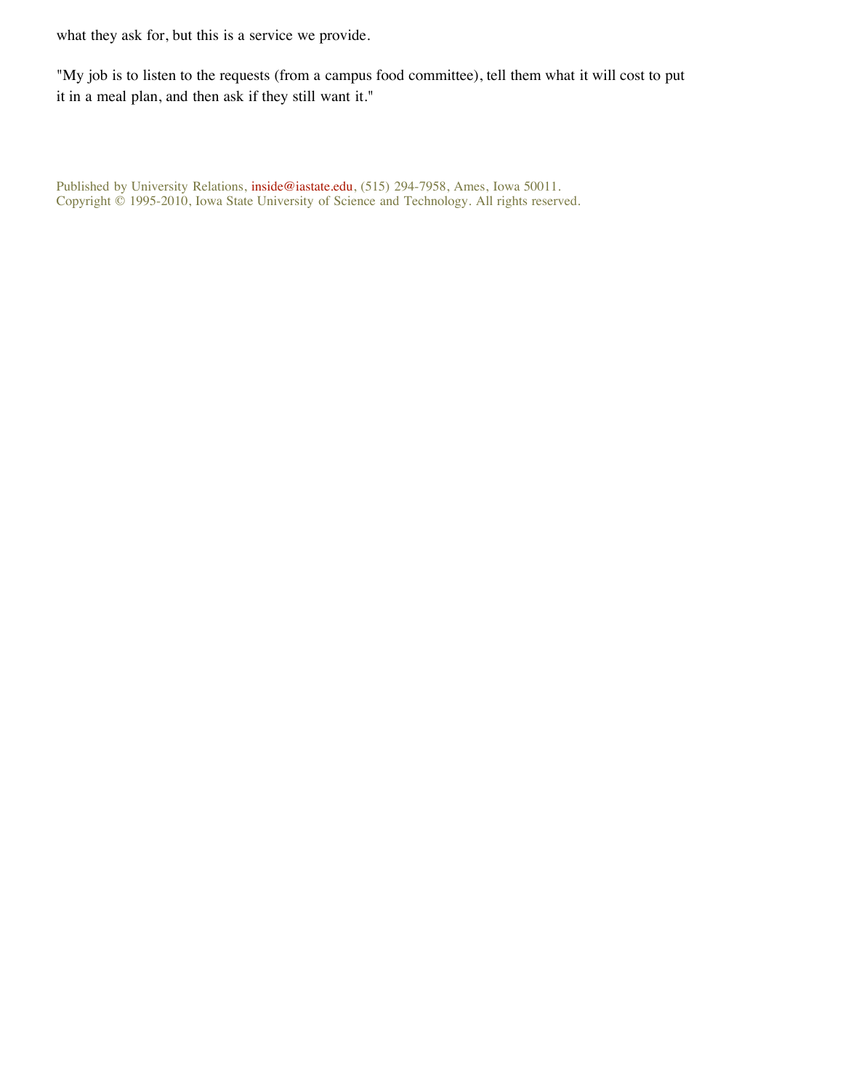what they ask for, but this is a service we provide.

"My job is to listen to the requests (from a campus food committee), tell them what it will cost to put it in a meal plan, and then ask if they still want it."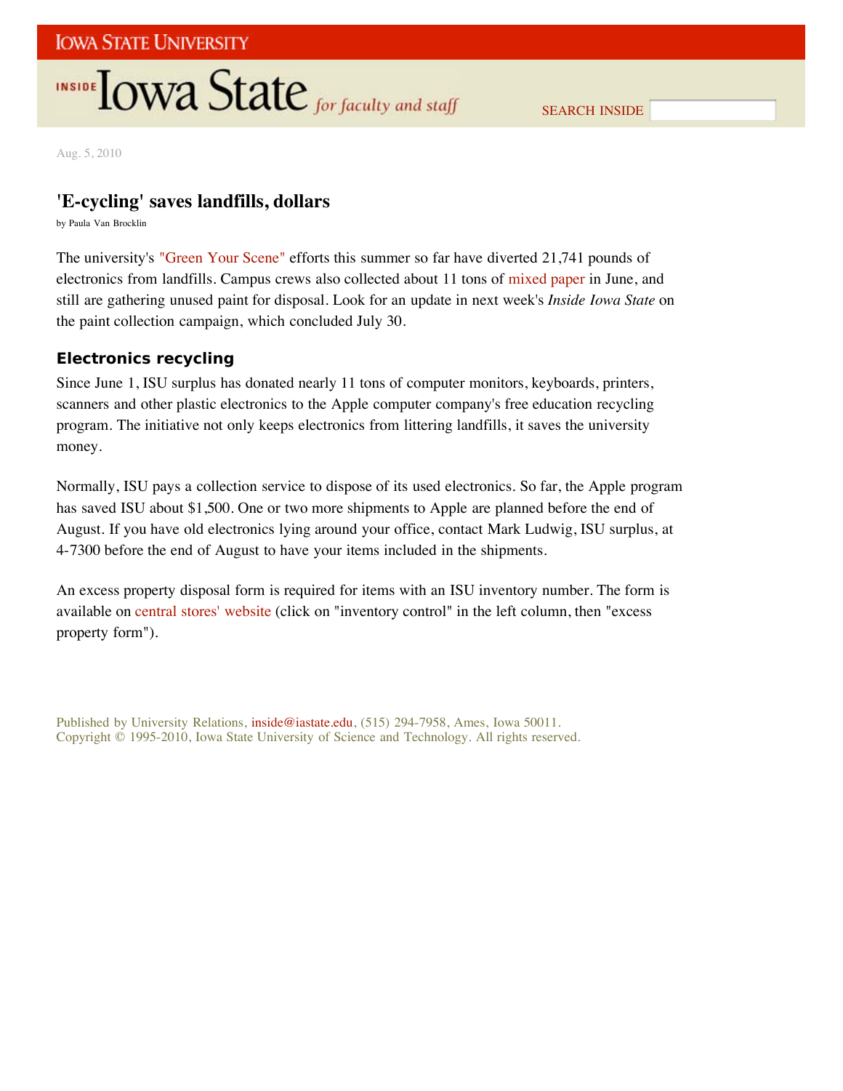## INSIDE **LOWA State** for faculty and staff

SEARCH INSIDE

Aug. 5, 2010

### **'E-cycling' saves landfills, dollars**

by Paula Van Brocklin

The university's "Green Your Scene" efforts this summer so far have diverted 21,741 pounds of electronics from landfills. Campus crews also collected about 11 tons of mixed paper in June, and still are gathering unused paint for disposal. Look for an update in next week's *Inside Iowa State* on the paint collection campaign, which concluded July 30.

#### **Electronics recycling**

Since June 1, ISU surplus has donated nearly 11 tons of computer monitors, keyboards, printers, scanners and other plastic electronics to the Apple computer company's free education recycling program. The initiative not only keeps electronics from littering landfills, it saves the university money.

Normally, ISU pays a collection service to dispose of its used electronics. So far, the Apple program has saved ISU about \$1,500. One or two more shipments to Apple are planned before the end of August. If you have old electronics lying around your office, contact Mark Ludwig, ISU surplus, at 4-7300 before the end of August to have your items included in the shipments.

An excess property disposal form is required for items with an ISU inventory number. The form is available on central stores' website (click on "inventory control" in the left column, then "excess property form").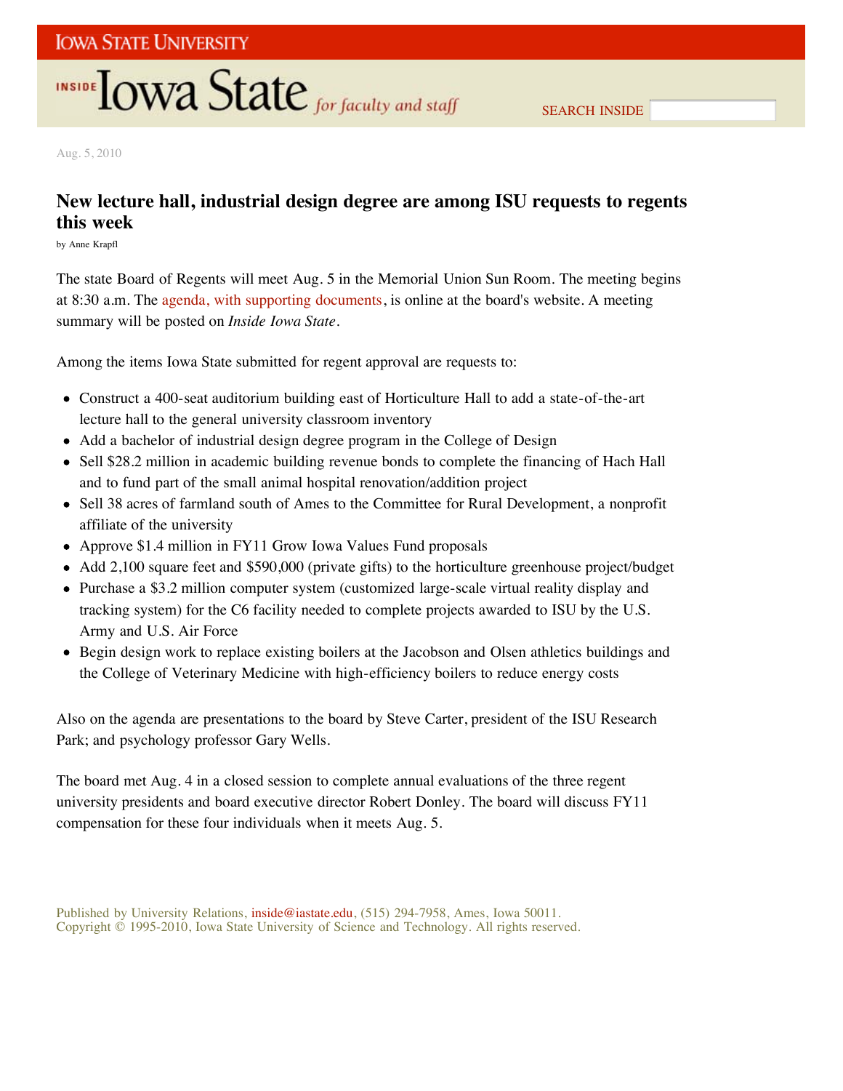# **INSIDE TOWA State** for faculty and staff

Aug. 5, 2010

## **New lecture hall, industrial design degree are among ISU requests to regents this week**

by Anne Krapfl

The state Board of Regents will meet Aug. 5 in the Memorial Union Sun Room. The meeting begins at 8:30 a.m. The agenda, with supporting documents, is online at the board's website. A meeting summary will be posted on *Inside Iowa State*.

Among the items Iowa State submitted for regent approval are requests to:

- Construct a 400-seat auditorium building east of Horticulture Hall to add a state-of-the-art lecture hall to the general university classroom inventory
- Add a bachelor of industrial design degree program in the College of Design
- Sell \$28.2 million in academic building revenue bonds to complete the financing of Hach Hall and to fund part of the small animal hospital renovation/addition project
- Sell 38 acres of farmland south of Ames to the Committee for Rural Development, a nonprofit affiliate of the university
- Approve \$1.4 million in FY11 Grow Iowa Values Fund proposals
- Add 2,100 square feet and \$590,000 (private gifts) to the horticulture greenhouse project/budget  $\bullet$
- Purchase a \$3.2 million computer system (customized large-scale virtual reality display and tracking system) for the C6 facility needed to complete projects awarded to ISU by the U.S. Army and U.S. Air Force
- Begin design work to replace existing boilers at the Jacobson and Olsen athletics buildings and the College of Veterinary Medicine with high-efficiency boilers to reduce energy costs

Also on the agenda are presentations to the board by Steve Carter, president of the ISU Research Park; and psychology professor Gary Wells.

The board met Aug. 4 in a closed session to complete annual evaluations of the three regent university presidents and board executive director Robert Donley. The board will discuss FY11 compensation for these four individuals when it meets Aug. 5.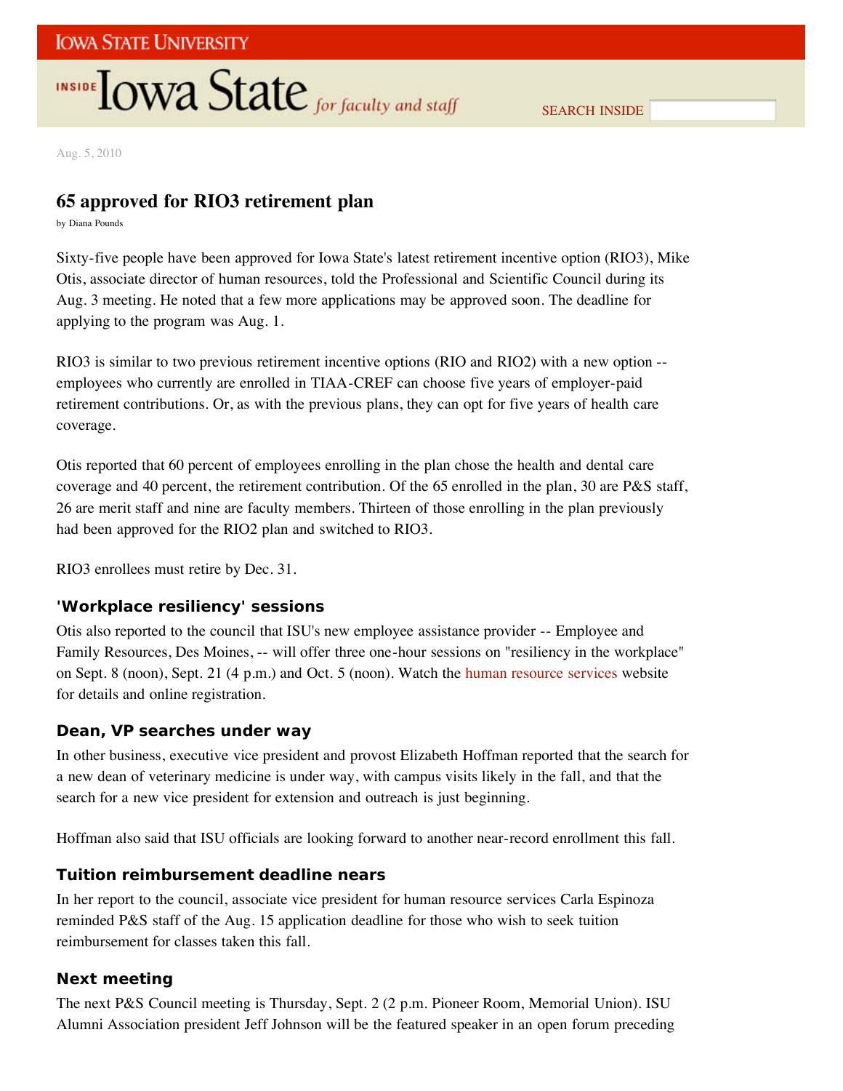# **INSIDE LOWA State** for faculty and staff

SEARCH INSIDE

Aug. 5, 2010

## **65 approved for RIO3 retirement plan**

by Diana Pounds

Sixty-five people have been approved for Iowa State's latest retirement incentive option (RIO3), Mike Otis, associate director of human resources, told the Professional and Scientific Council during its Aug. 3 meeting. He noted that a few more applications may be approved soon. The deadline for applying to the program was Aug. 1.

RIO3 is similar to two previous retirement incentive options (RIO and RIO2) with a new option - employees who currently are enrolled in TIAA-CREF can choose five years of employer-paid retirement contributions. Or, as with the previous plans, they can opt for five years of health care coverage.

Otis reported that 60 percent of employees enrolling in the plan chose the health and dental care coverage and 40 percent, the retirement contribution. Of the 65 enrolled in the plan, 30 are P&S staff, 26 are merit staff and nine are faculty members. Thirteen of those enrolling in the plan previously had been approved for the RIO2 plan and switched to RIO3.

RIO3 enrollees must retire by Dec. 31.

#### **'Workplace resiliency' sessions**

Otis also reported to the council that ISU's new employee assistance provider -- Employee and Family Resources, Des Moines, -- will offer three one-hour sessions on "resiliency in the workplace" on Sept. 8 (noon), Sept. 21 (4 p.m.) and Oct. 5 (noon). Watch the human resource services website for details and online registration.

#### **Dean, VP searches under way**

In other business, executive vice president and provost Elizabeth Hoffman reported that the search for a new dean of veterinary medicine is under way, with campus visits likely in the fall, and that the search for a new vice president for extension and outreach is just beginning.

Hoffman also said that ISU officials are looking forward to another near-record enrollment this fall.

#### **Tuition reimbursement deadline nears**

In her report to the council, associate vice president for human resource services Carla Espinoza reminded P&S staff of the Aug. 15 application deadline for those who wish to seek tuition reimbursement for classes taken this fall.

#### **Next meeting**

The next P&S Council meeting is Thursday, Sept. 2 (2 p.m. Pioneer Room, Memorial Union). ISU Alumni Association president Jeff Johnson will be the featured speaker in an open forum preceding